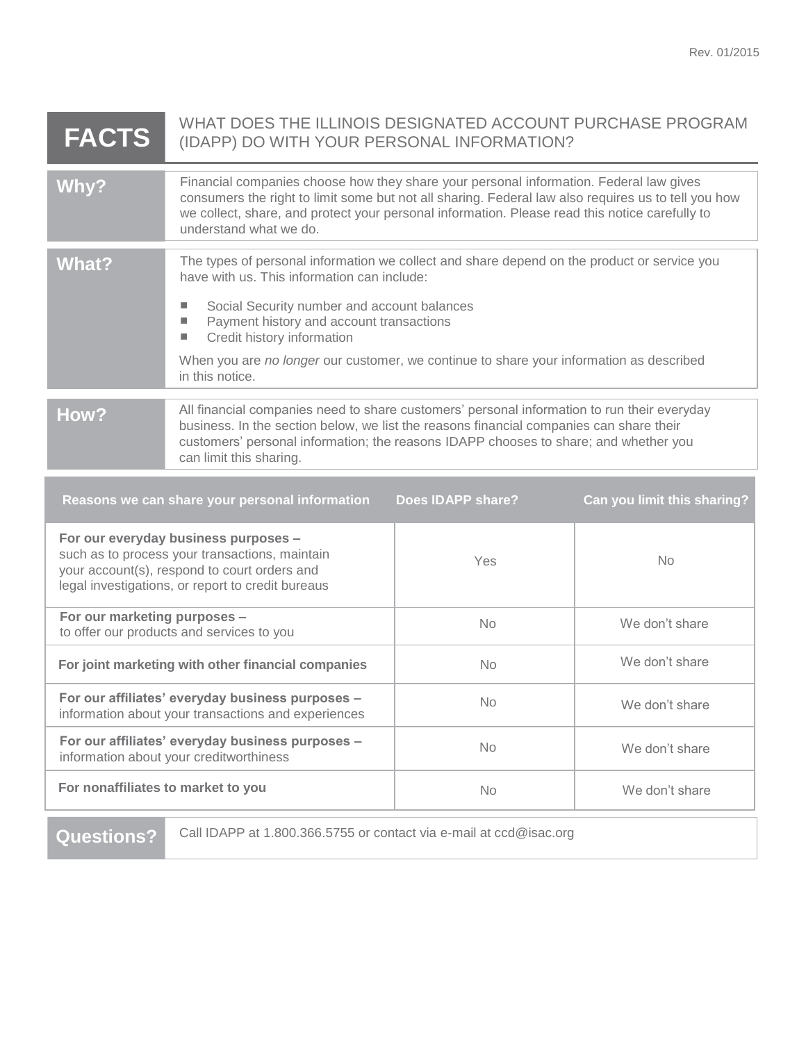| <b>FACTS</b>                                                                                                                                                                                | WHAT DOES THE ILLINOIS DESIGNATED ACCOUNT PURCHASE PROGRAM<br>(IDAPP) DO WITH YOUR PERSONAL INFORMATION?                                                                                                                                                                                                                                                                                          |           |                |  |
|---------------------------------------------------------------------------------------------------------------------------------------------------------------------------------------------|---------------------------------------------------------------------------------------------------------------------------------------------------------------------------------------------------------------------------------------------------------------------------------------------------------------------------------------------------------------------------------------------------|-----------|----------------|--|
| Why?                                                                                                                                                                                        | Financial companies choose how they share your personal information. Federal law gives<br>consumers the right to limit some but not all sharing. Federal law also requires us to tell you how<br>we collect, share, and protect your personal information. Please read this notice carefully to<br>understand what we do.                                                                         |           |                |  |
| <b>What?</b>                                                                                                                                                                                | The types of personal information we collect and share depend on the product or service you<br>have with us. This information can include:<br>Social Security number and account balances<br>п<br>Payment history and account transactions<br>L.<br>Credit history information<br>п<br>When you are no longer our customer, we continue to share your information as described<br>in this notice. |           |                |  |
| How?                                                                                                                                                                                        | All financial companies need to share customers' personal information to run their everyday<br>business. In the section below, we list the reasons financial companies can share their<br>customers' personal information; the reasons IDAPP chooses to share; and whether you<br>can limit this sharing.                                                                                         |           |                |  |
| Reasons we can share your personal information<br><b>Does IDAPP share?</b><br>Can you limit this sharing?                                                                                   |                                                                                                                                                                                                                                                                                                                                                                                                   |           |                |  |
| For our everyday business purposes -<br>such as to process your transactions, maintain<br>your account(s), respond to court orders and<br>legal investigations, or report to credit bureaus |                                                                                                                                                                                                                                                                                                                                                                                                   | Yes       | <b>No</b>      |  |
| For our marketing purposes -<br>to offer our products and services to you                                                                                                                   |                                                                                                                                                                                                                                                                                                                                                                                                   | No        | We don't share |  |
| For joint marketing with other financial companies                                                                                                                                          |                                                                                                                                                                                                                                                                                                                                                                                                   | <b>No</b> | We don't share |  |
| For our affiliates' everyday business purposes -<br>information about your transactions and experiences                                                                                     |                                                                                                                                                                                                                                                                                                                                                                                                   | <b>No</b> | We don't share |  |
| For our affiliates' everyday business purposes -<br>information about your creditworthiness                                                                                                 |                                                                                                                                                                                                                                                                                                                                                                                                   | <b>No</b> | We don't share |  |

**For nonaffiliates to market to you** No No We don't share

Questions? Call IDAPP at 1.800.366.5755 or contact via e-mail at ccd@isac.org